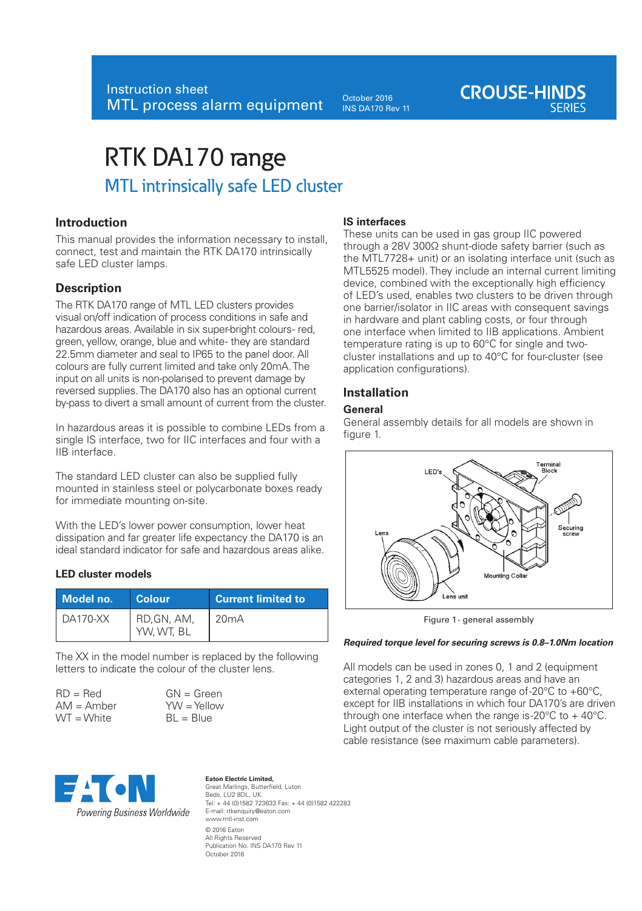October 2016 INS DA170 Rev 11

# **CROUSE-HINDS**

# RTK DA170 range MTL intrinsically safe LED cluster

# **Introduction**

This manual provides the information necessary to install, connect, test and maintain the RTK DA170 intrinsically safe LED cluster lamps.

# **Description**

The RTK DA170 range of MTL LED clusters provides visual on/off indication of process conditions in safe and hazardous areas. Available in six super-bright colours- red. green, yellow, orange, blue and white-they are standard 22.5mm diameter and seal to IP65 to the panel door. All colours are fully current limited and take only 20mA. The input on all units is non-polarised to prevent damage by reversed supplies. The DA170 also has an optional current by-pass to divert a small amount of current from the cluster.

In hazardous areas it is possible to combine LEDs from a single IS interface, two for IIC interfaces and four with a IIB interface.

The standard LED cluster can also be supplied fully mounted in stainless steel or polycarbonate boxes ready for immediate mounting on-site.

With the LED's lower power consumption, lower heat dissipation and far greater life expectancy the DA170 is an ideal standard indicator for safe and hazardous areas alike.

#### **LED cluster models**

| Model no. | Colour                    | <b>Current limited to</b> |
|-----------|---------------------------|---------------------------|
| DA170-XX  | RD, GN, AM,<br>YW, WT, BL | 20mA                      |

The XX in the model number is replaced by the following letters to indicate the colour of the cluster lens.

| $RD = Red$   |  |
|--------------|--|
| $AM =$ Amber |  |
| $WT = White$ |  |





#### **Eaton Electric Limited,**  Great Marlings, Butterfield, Luton Beds, LU2 8DL, UK. Tel: + 44 (0)1582 723633 Fax: + 44 (0)1582 422283 E-mail: rtkenquiry@eaton.com www.mtl-inst.com © 2016 Eaton All Rights Reserved Publication No. INS DA170 Rev 11 October 2016

#### **IS interfaces**

These units can be used in gas group IIC powered through a 28V 300Ω shunt-diode safety barrier (such as the MTL7728+ unit) or an isolating interface unit (such as MTL5525 model). They include an internal current limiting device, combined with the exceptionally high efficiency of LED's used, enables two clusters to be driven through one barrier/isolator in IIC areas with consequent savings in hardware and plant cabling costs, or four through one interface when limited to IIB applications. Ambient temperature rating is up to 60°C for single and twocluster installations and up to 40°C for four-cluster (see application configurations).

# **Installation**

#### **General**

General assembly details for all models are shown in figure 1.



Figure 1 - general assembly

#### *Required torque level for securing screws is 0.8–1.0Nm location*

All models can be used in zones 0, 1 and 2 (equipment categories 1, 2 and 3) hazardous areas and have an external operating temperature range of-20°C to +60°C, except for IIB installations in which four DA170's are driven through one interface when the range is-20 $\degree$ C to + 40 $\degree$ C. Light output of the cluster is not seriously affected by cable resistance (see maximum cable parameters).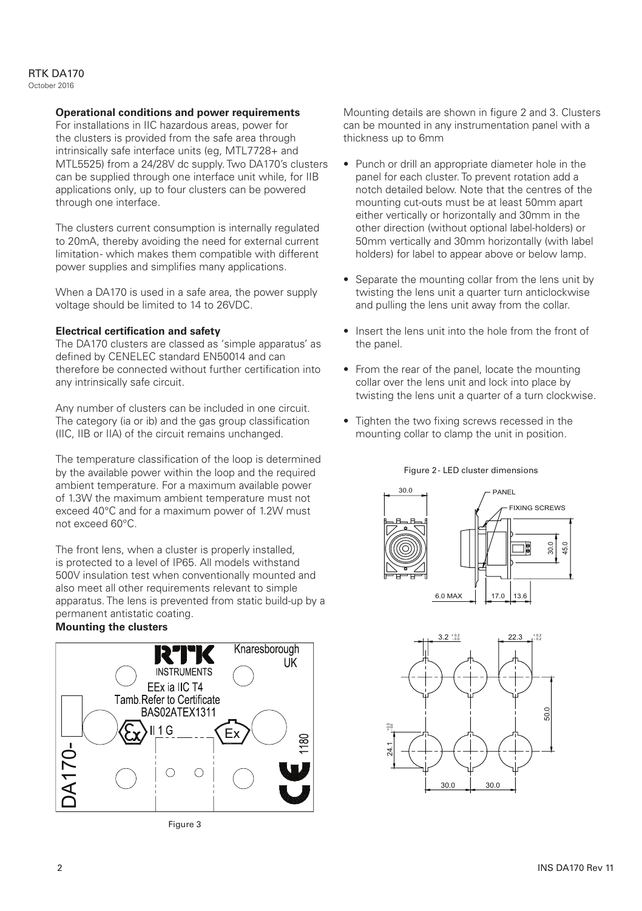#### RTK DA170 October 2016

# **Operational conditions and power requirements**

For installations in IIC hazardous areas, power for the clusters is provided from the safe area through intrinsically safe interface units (eg, MTL7728+ and MTL5525) from a 24/28V dc supply. Two DA170's clusters can be supplied through one interface unit while, for IIB applications only, up to four clusters can be powered through one interface.

The clusters current consumption is internally regulated to 20mA, thereby avoiding the need for external current limitation- which makes them compatible with different power supplies and simplifies many applications.

When a DA170 is used in a safe area, the power supply voltage should be limited to 14 to 26VDC.

# **Electrical certification and safety**

The DA170 clusters are classed as 'simple apparatus' as defined by CENELEC standard EN50014 and can therefore be connected without further certification into any intrinsically safe circuit.

Any number of clusters can be included in one circuit. The category (ia or ib) and the gas group classification (IIC, IIB or IIA) of the circuit remains unchanged.

The temperature classification of the loop is determined by the available power within the loop and the required ambient temperature. For a maximum available power of 1.3W the maximum ambient temperature must not exceed 40°C and for a maximum power of 1.2W must not exceed 60°C.

The front lens, when a cluster is properly installed, is protected to a level of IP65. All models withstand 500V insulation test when conventionally mounted and also meet all other requirements relevant to simple apparatus. The lens is prevented from static build-up by a permanent antistatic coating.

# **Mounting the clusters**



Figure 3

Mounting details are shown in figure 2 and 3. Clusters can be mounted in any instrumentation panel with a thickness up to 6mm

- Punch or drill an appropriate diameter hole in the panel for each cluster. To prevent rotation add a notch detailed below. Note that the centres of the mounting cut-outs must be at least 50mm apart either vertically or horizontally and 30mm in the other direction (without optional label-holders) or 50mm vertically and 30mm horizontally (with label holders) for label to appear above or below lamp.
- Separate the mounting collar from the lens unit by twisting the lens unit a quarter turn anticlockwise and pulling the lens unit away from the collar.
- Insert the lens unit into the hole from the front of the panel.
- From the rear of the panel, locate the mounting collar over the lens unit and lock into place by twisting the lens unit a quarter of a turn clockwise.
- Tighten the two fixing screws recessed in the mounting collar to clamp the unit in position.





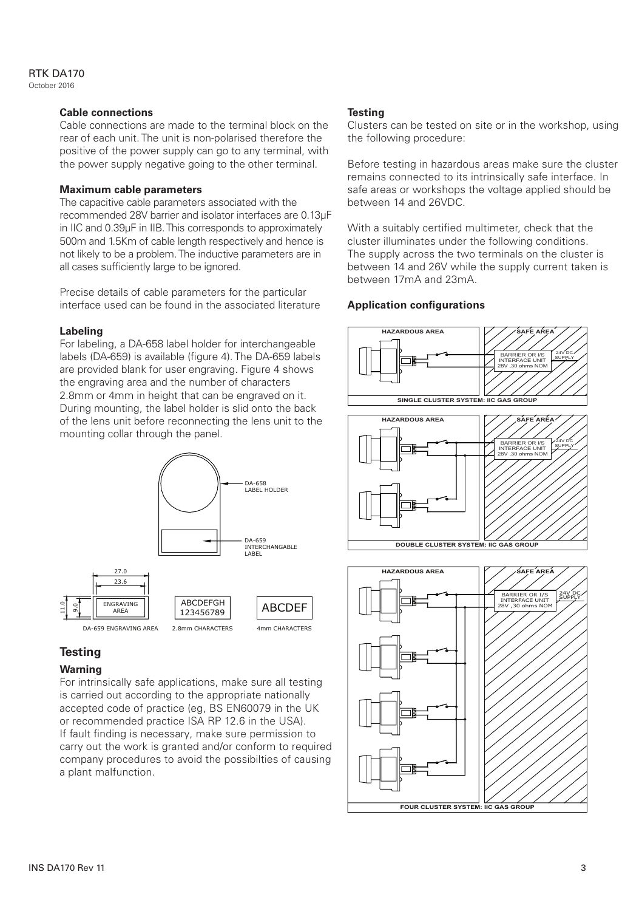### RTK DA170

October 2016

#### **Cable connections**

Cable connections are made to the terminal block on the rear of each unit. The unit is non-polarised therefore the positive of the power supply can go to any terminal, with the power supply negative going to the other terminal.

#### **Maximum cable parameters**

The capacitive cable parameters associated with the recommended 28V barrier and isolator interfaces are 0.13μF in IIC and 0.39μF in IIB. This corresponds to approximately 500m and 1.5Km of cable length respectively and hence is not likely to be a problem. The inductive parameters are in all cases sufficiently large to be ignored.

Precise details of cable parameters for the particular interface used can be found in the associated literature

#### **Labeling**

For labeling, a DA-658 label holder for interchangeable labels (DA-659) is available (figure 4). The DA-659 labels are provided blank for user engraving. Figure 4 shows the engraving area and the number of characters 2.8mm or 4mm in height that can be engraved on it. During mounting, the label holder is slid onto the back of the lens unit before reconnecting the lens unit to the mounting collar through the panel.



# **Testing**

#### **Warning**

For intrinsically safe applications, make sure all testing is carried out according to the appropriate nationally accepted code of practice (eg, BS EN60079 in the UK or recommended practice ISA RP 12.6 in the USA). If fault finding is necessary, make sure permission to carry out the work is granted and/or conform to required company procedures to avoid the possibilties of causing a plant malfunction.

#### **Testing**

Clusters can be tested on site or in the workshop, using the following procedure:

Before testing in hazardous areas make sure the cluster remains connected to its intrinsically safe interface. In safe areas or workshops the voltage applied should be between 14 and 26VDC.

With a suitably certified multimeter, check that the cluster illuminates under the following conditions. The supply across the two terminals on the cluster is between 14 and 26V while the supply current taken is between 17mA and 23mA.

# **Application configurations**